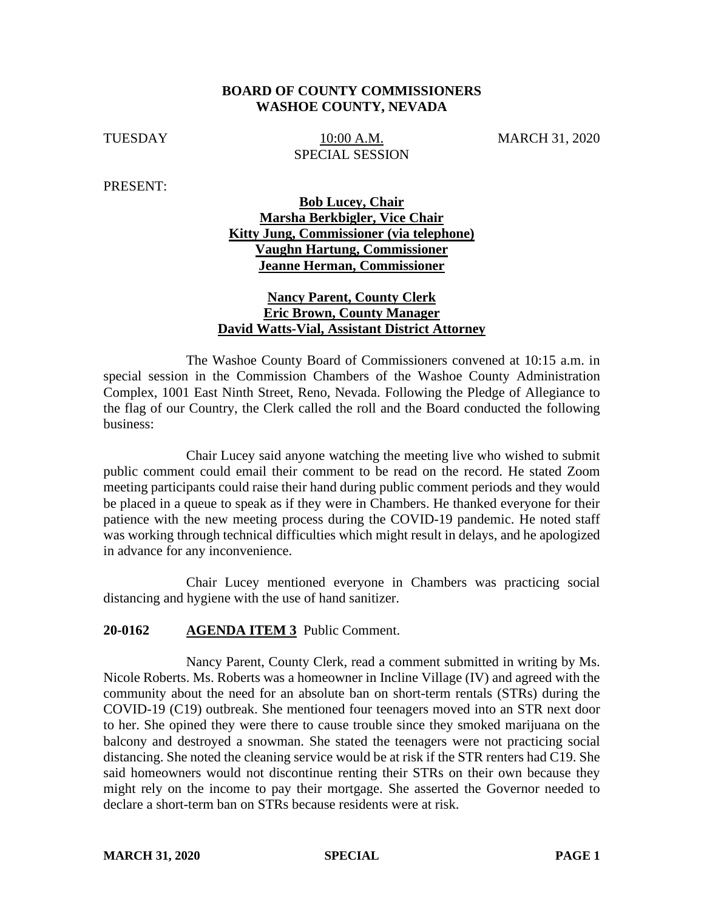#### **BOARD OF COUNTY COMMISSIONERS WASHOE COUNTY, NEVADA**

TUESDAY 10:00 A.M. MARCH 31, 2020 SPECIAL SESSION

PRESENT:

## **Bob Lucey, Chair Marsha Berkbigler, Vice Chair Kitty Jung, Commissioner (via telephone) Vaughn Hartung, Commissioner Jeanne Herman, Commissioner**

### **Nancy Parent, County Clerk Eric Brown, County Manager David Watts-Vial, Assistant District Attorney**

The Washoe County Board of Commissioners convened at 10:15 a.m. in special session in the Commission Chambers of the Washoe County Administration Complex, 1001 East Ninth Street, Reno, Nevada. Following the Pledge of Allegiance to the flag of our Country, the Clerk called the roll and the Board conducted the following business:

Chair Lucey said anyone watching the meeting live who wished to submit public comment could email their comment to be read on the record. He stated Zoom meeting participants could raise their hand during public comment periods and they would be placed in a queue to speak as if they were in Chambers. He thanked everyone for their patience with the new meeting process during the COVID-19 pandemic. He noted staff was working through technical difficulties which might result in delays, and he apologized in advance for any inconvenience.

Chair Lucey mentioned everyone in Chambers was practicing social distancing and hygiene with the use of hand sanitizer.

#### **20-0162 AGENDA ITEM 3** Public Comment.

Nancy Parent, County Clerk, read a comment submitted in writing by Ms. Nicole Roberts. Ms. Roberts was a homeowner in Incline Village (IV) and agreed with the community about the need for an absolute ban on short-term rentals (STRs) during the COVID-19 (C19) outbreak. She mentioned four teenagers moved into an STR next door to her. She opined they were there to cause trouble since they smoked marijuana on the balcony and destroyed a snowman. She stated the teenagers were not practicing social distancing. She noted the cleaning service would be at risk if the STR renters had C19. She said homeowners would not discontinue renting their STRs on their own because they might rely on the income to pay their mortgage. She asserted the Governor needed to declare a short-term ban on STRs because residents were at risk.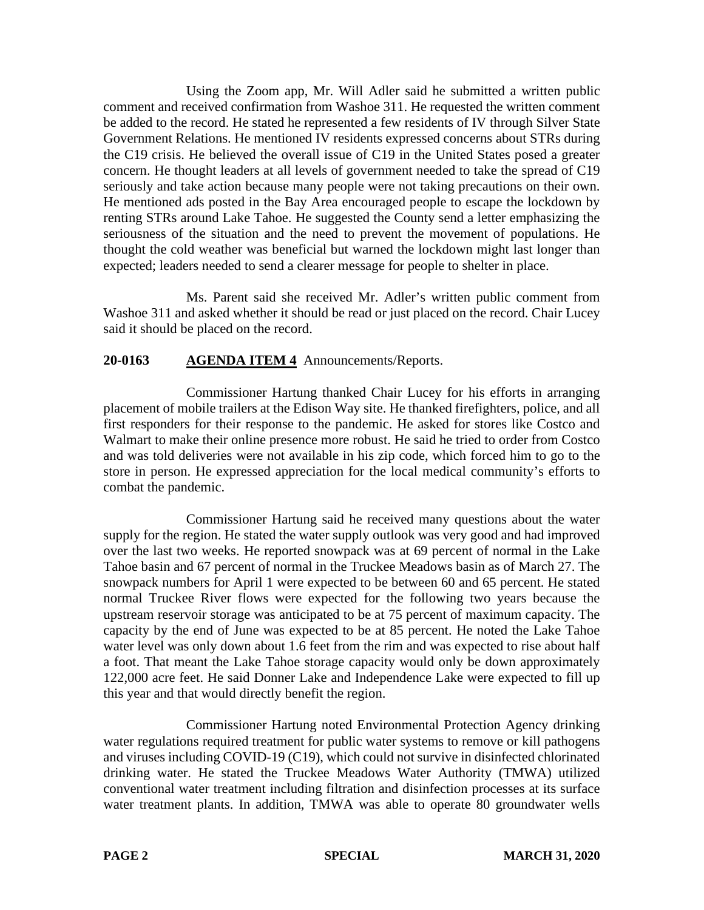Using the Zoom app, Mr. Will Adler said he submitted a written public comment and received confirmation from Washoe 311. He requested the written comment be added to the record. He stated he represented a few residents of IV through Silver State Government Relations. He mentioned IV residents expressed concerns about STRs during the C19 crisis. He believed the overall issue of C19 in the United States posed a greater concern. He thought leaders at all levels of government needed to take the spread of C19 seriously and take action because many people were not taking precautions on their own. He mentioned ads posted in the Bay Area encouraged people to escape the lockdown by renting STRs around Lake Tahoe. He suggested the County send a letter emphasizing the seriousness of the situation and the need to prevent the movement of populations. He thought the cold weather was beneficial but warned the lockdown might last longer than expected; leaders needed to send a clearer message for people to shelter in place.

Ms. Parent said she received Mr. Adler's written public comment from Washoe 311 and asked whether it should be read or just placed on the record. Chair Lucey said it should be placed on the record.

## **20-0163 AGENDA ITEM 4** Announcements/Reports.

Commissioner Hartung thanked Chair Lucey for his efforts in arranging placement of mobile trailers at the Edison Way site. He thanked firefighters, police, and all first responders for their response to the pandemic. He asked for stores like Costco and Walmart to make their online presence more robust. He said he tried to order from Costco and was told deliveries were not available in his zip code, which forced him to go to the store in person. He expressed appreciation for the local medical community's efforts to combat the pandemic.

Commissioner Hartung said he received many questions about the water supply for the region. He stated the water supply outlook was very good and had improved over the last two weeks. He reported snowpack was at 69 percent of normal in the Lake Tahoe basin and 67 percent of normal in the Truckee Meadows basin as of March 27. The snowpack numbers for April 1 were expected to be between 60 and 65 percent. He stated normal Truckee River flows were expected for the following two years because the upstream reservoir storage was anticipated to be at 75 percent of maximum capacity. The capacity by the end of June was expected to be at 85 percent. He noted the Lake Tahoe water level was only down about 1.6 feet from the rim and was expected to rise about half a foot. That meant the Lake Tahoe storage capacity would only be down approximately 122,000 acre feet. He said Donner Lake and Independence Lake were expected to fill up this year and that would directly benefit the region.

Commissioner Hartung noted Environmental Protection Agency drinking water regulations required treatment for public water systems to remove or kill pathogens and viruses including COVID-19 (C19), which could not survive in disinfected chlorinated drinking water. He stated the Truckee Meadows Water Authority (TMWA) utilized conventional water treatment including filtration and disinfection processes at its surface water treatment plants. In addition, TMWA was able to operate 80 groundwater wells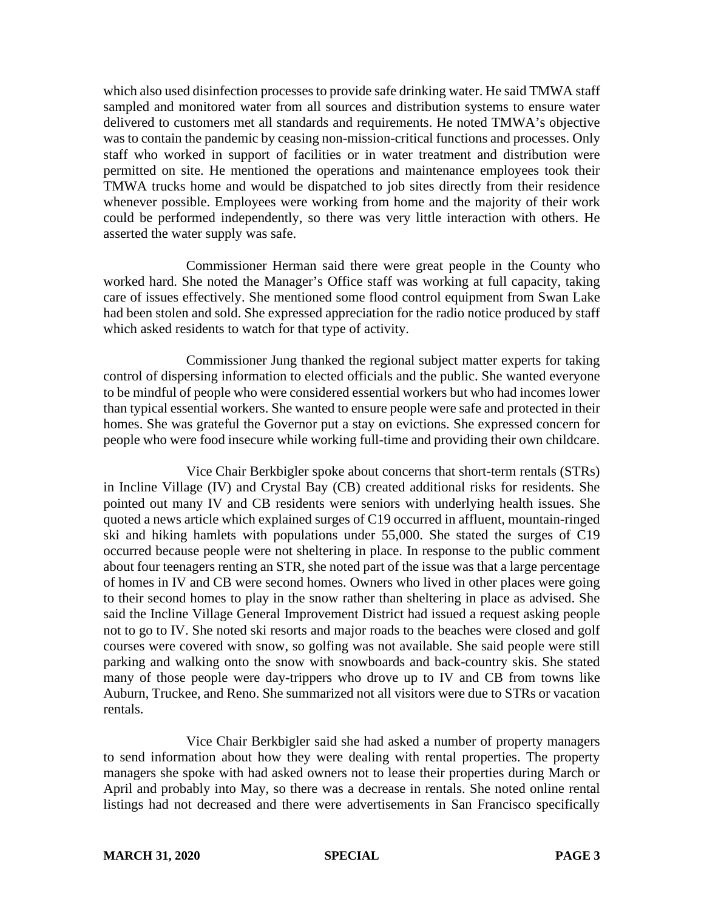which also used disinfection processes to provide safe drinking water. He said TMWA staff sampled and monitored water from all sources and distribution systems to ensure water delivered to customers met all standards and requirements. He noted TMWA's objective was to contain the pandemic by ceasing non-mission-critical functions and processes. Only staff who worked in support of facilities or in water treatment and distribution were permitted on site. He mentioned the operations and maintenance employees took their TMWA trucks home and would be dispatched to job sites directly from their residence whenever possible. Employees were working from home and the majority of their work could be performed independently, so there was very little interaction with others. He asserted the water supply was safe.

Commissioner Herman said there were great people in the County who worked hard. She noted the Manager's Office staff was working at full capacity, taking care of issues effectively. She mentioned some flood control equipment from Swan Lake had been stolen and sold. She expressed appreciation for the radio notice produced by staff which asked residents to watch for that type of activity.

Commissioner Jung thanked the regional subject matter experts for taking control of dispersing information to elected officials and the public. She wanted everyone to be mindful of people who were considered essential workers but who had incomes lower than typical essential workers. She wanted to ensure people were safe and protected in their homes. She was grateful the Governor put a stay on evictions. She expressed concern for people who were food insecure while working full-time and providing their own childcare.

Vice Chair Berkbigler spoke about concerns that short-term rentals (STRs) in Incline Village (IV) and Crystal Bay (CB) created additional risks for residents. She pointed out many IV and CB residents were seniors with underlying health issues. She quoted a news article which explained surges of C19 occurred in affluent, mountain-ringed ski and hiking hamlets with populations under 55,000. She stated the surges of C19 occurred because people were not sheltering in place. In response to the public comment about four teenagers renting an STR, she noted part of the issue was that a large percentage of homes in IV and CB were second homes. Owners who lived in other places were going to their second homes to play in the snow rather than sheltering in place as advised. She said the Incline Village General Improvement District had issued a request asking people not to go to IV. She noted ski resorts and major roads to the beaches were closed and golf courses were covered with snow, so golfing was not available. She said people were still parking and walking onto the snow with snowboards and back-country skis. She stated many of those people were day-trippers who drove up to IV and CB from towns like Auburn, Truckee, and Reno. She summarized not all visitors were due to STRs or vacation rentals.

Vice Chair Berkbigler said she had asked a number of property managers to send information about how they were dealing with rental properties. The property managers she spoke with had asked owners not to lease their properties during March or April and probably into May, so there was a decrease in rentals. She noted online rental listings had not decreased and there were advertisements in San Francisco specifically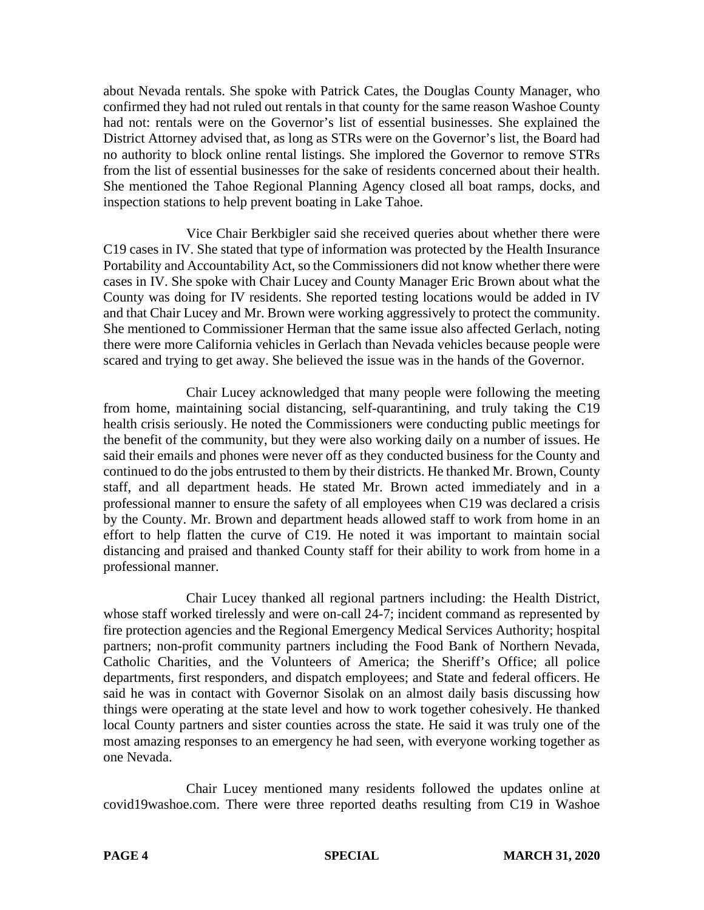about Nevada rentals. She spoke with Patrick Cates, the Douglas County Manager, who confirmed they had not ruled out rentals in that county for the same reason Washoe County had not: rentals were on the Governor's list of essential businesses. She explained the District Attorney advised that, as long as STRs were on the Governor's list, the Board had no authority to block online rental listings. She implored the Governor to remove STRs from the list of essential businesses for the sake of residents concerned about their health. She mentioned the Tahoe Regional Planning Agency closed all boat ramps, docks, and inspection stations to help prevent boating in Lake Tahoe.

Vice Chair Berkbigler said she received queries about whether there were C19 cases in IV. She stated that type of information was protected by the Health Insurance Portability and Accountability Act, so the Commissioners did not know whether there were cases in IV. She spoke with Chair Lucey and County Manager Eric Brown about what the County was doing for IV residents. She reported testing locations would be added in IV and that Chair Lucey and Mr. Brown were working aggressively to protect the community. She mentioned to Commissioner Herman that the same issue also affected Gerlach, noting there were more California vehicles in Gerlach than Nevada vehicles because people were scared and trying to get away. She believed the issue was in the hands of the Governor.

Chair Lucey acknowledged that many people were following the meeting from home, maintaining social distancing, self-quarantining, and truly taking the C19 health crisis seriously. He noted the Commissioners were conducting public meetings for the benefit of the community, but they were also working daily on a number of issues. He said their emails and phones were never off as they conducted business for the County and continued to do the jobs entrusted to them by their districts. He thanked Mr. Brown, County staff, and all department heads. He stated Mr. Brown acted immediately and in a professional manner to ensure the safety of all employees when C19 was declared a crisis by the County. Mr. Brown and department heads allowed staff to work from home in an effort to help flatten the curve of C19. He noted it was important to maintain social distancing and praised and thanked County staff for their ability to work from home in a professional manner.

Chair Lucey thanked all regional partners including: the Health District, whose staff worked tirelessly and were on-call 24-7; incident command as represented by fire protection agencies and the Regional Emergency Medical Services Authority; hospital partners; non-profit community partners including the Food Bank of Northern Nevada, Catholic Charities, and the Volunteers of America; the Sheriff's Office; all police departments, first responders, and dispatch employees; and State and federal officers. He said he was in contact with Governor Sisolak on an almost daily basis discussing how things were operating at the state level and how to work together cohesively. He thanked local County partners and sister counties across the state. He said it was truly one of the most amazing responses to an emergency he had seen, with everyone working together as one Nevada.

Chair Lucey mentioned many residents followed the updates online at covid19washoe.com. There were three reported deaths resulting from C19 in Washoe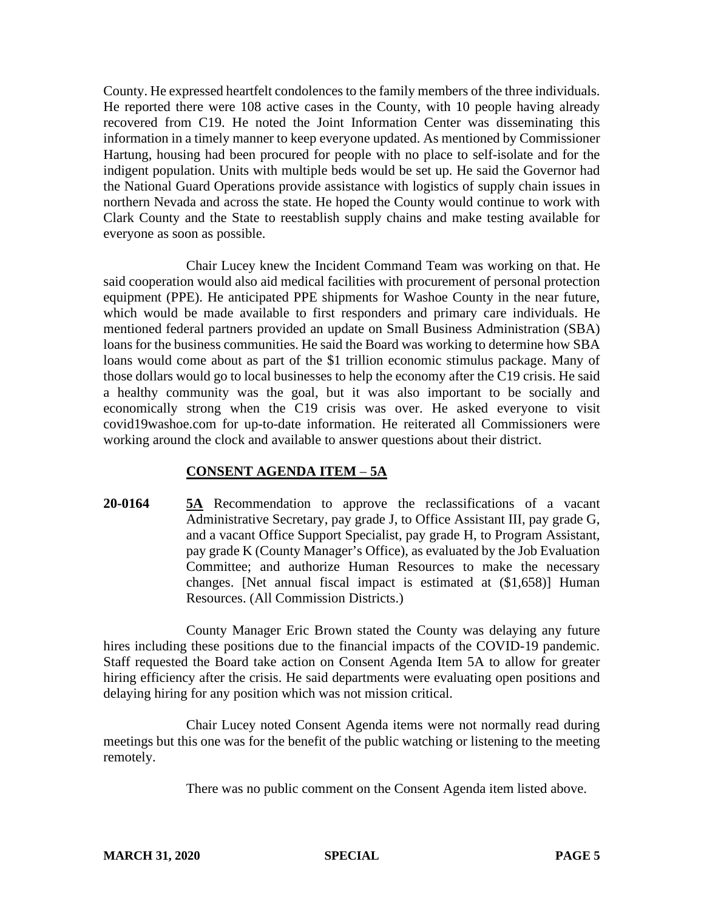County. He expressed heartfelt condolences to the family members of the three individuals. He reported there were 108 active cases in the County, with 10 people having already recovered from C19. He noted the Joint Information Center was disseminating this information in a timely manner to keep everyone updated. As mentioned by Commissioner Hartung, housing had been procured for people with no place to self-isolate and for the indigent population. Units with multiple beds would be set up. He said the Governor had the National Guard Operations provide assistance with logistics of supply chain issues in northern Nevada and across the state. He hoped the County would continue to work with Clark County and the State to reestablish supply chains and make testing available for everyone as soon as possible.

Chair Lucey knew the Incident Command Team was working on that. He said cooperation would also aid medical facilities with procurement of personal protection equipment (PPE). He anticipated PPE shipments for Washoe County in the near future, which would be made available to first responders and primary care individuals. He mentioned federal partners provided an update on Small Business Administration (SBA) loans for the business communities. He said the Board was working to determine how SBA loans would come about as part of the \$1 trillion economic stimulus package. Many of those dollars would go to local businesses to help the economy after the C19 crisis. He said a healthy community was the goal, but it was also important to be socially and economically strong when the C19 crisis was over. He asked everyone to visit covid19washoe.com for up-to-date information. He reiterated all Commissioners were working around the clock and available to answer questions about their district.

#### **CONSENT AGENDA ITEM** – **5A**

**20-0164 5A** Recommendation to approve the reclassifications of a vacant Administrative Secretary, pay grade J, to Office Assistant III, pay grade G, and a vacant Office Support Specialist, pay grade H, to Program Assistant, pay grade K (County Manager's Office), as evaluated by the Job Evaluation Committee; and authorize Human Resources to make the necessary changes. [Net annual fiscal impact is estimated at (\$1,658)] Human Resources. (All Commission Districts.)

County Manager Eric Brown stated the County was delaying any future hires including these positions due to the financial impacts of the COVID-19 pandemic. Staff requested the Board take action on Consent Agenda Item 5A to allow for greater hiring efficiency after the crisis. He said departments were evaluating open positions and delaying hiring for any position which was not mission critical.

Chair Lucey noted Consent Agenda items were not normally read during meetings but this one was for the benefit of the public watching or listening to the meeting remotely.

There was no public comment on the Consent Agenda item listed above.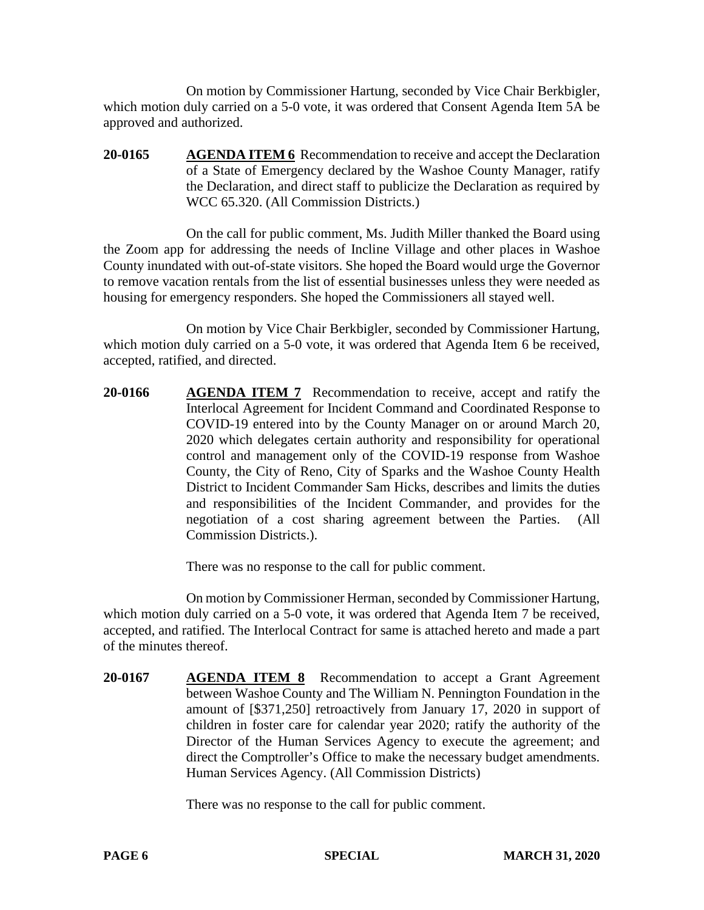On motion by Commissioner Hartung, seconded by Vice Chair Berkbigler, which motion duly carried on a 5-0 vote, it was ordered that Consent Agenda Item 5A be approved and authorized.

**20-0165 AGENDA ITEM 6** Recommendation to receive and accept the Declaration of a State of Emergency declared by the Washoe County Manager, ratify the Declaration, and direct staff to publicize the Declaration as required by WCC 65.320. (All Commission Districts.)

On the call for public comment, Ms. Judith Miller thanked the Board using the Zoom app for addressing the needs of Incline Village and other places in Washoe County inundated with out-of-state visitors. She hoped the Board would urge the Governor to remove vacation rentals from the list of essential businesses unless they were needed as housing for emergency responders. She hoped the Commissioners all stayed well.

On motion by Vice Chair Berkbigler, seconded by Commissioner Hartung, which motion duly carried on a 5-0 vote, it was ordered that Agenda Item 6 be received, accepted, ratified, and directed.

**20-0166 AGENDA ITEM 7** Recommendation to receive, accept and ratify the Interlocal Agreement for Incident Command and Coordinated Response to COVID-19 entered into by the County Manager on or around March 20, 2020 which delegates certain authority and responsibility for operational control and management only of the COVID-19 response from Washoe County, the City of Reno, City of Sparks and the Washoe County Health District to Incident Commander Sam Hicks, describes and limits the duties and responsibilities of the Incident Commander, and provides for the negotiation of a cost sharing agreement between the Parties. (All Commission Districts.).

There was no response to the call for public comment.

On motion by Commissioner Herman, seconded by Commissioner Hartung, which motion duly carried on a 5-0 vote, it was ordered that Agenda Item 7 be received, accepted, and ratified. The Interlocal Contract for same is attached hereto and made a part of the minutes thereof.

**20-0167 AGENDA ITEM 8** Recommendation to accept a Grant Agreement between Washoe County and The William N. Pennington Foundation in the amount of [\$371,250] retroactively from January 17, 2020 in support of children in foster care for calendar year 2020; ratify the authority of the Director of the Human Services Agency to execute the agreement; and direct the Comptroller's Office to make the necessary budget amendments. Human Services Agency. (All Commission Districts)

There was no response to the call for public comment.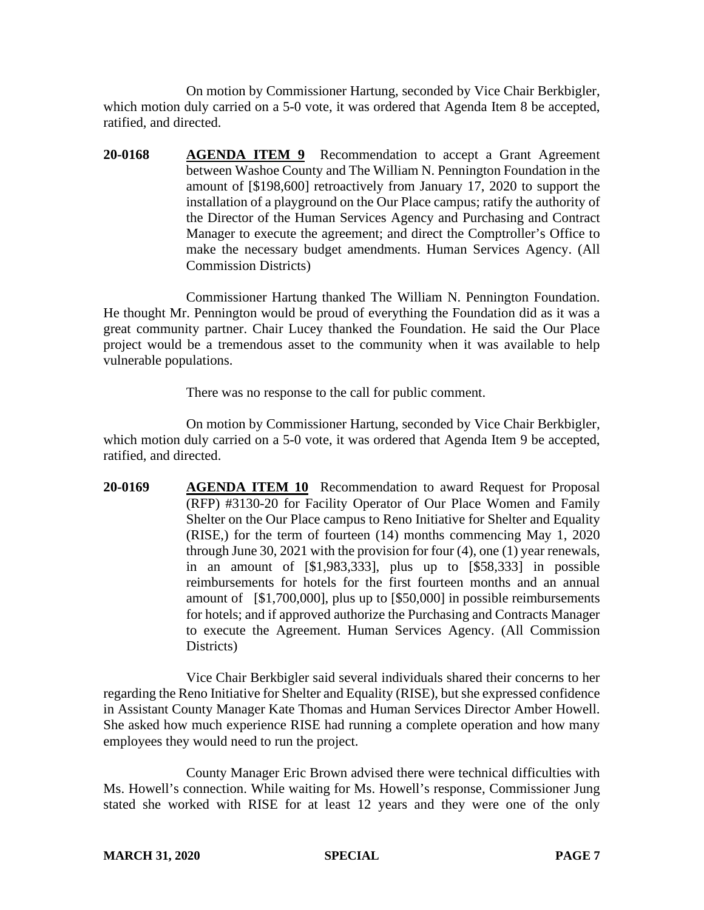On motion by Commissioner Hartung, seconded by Vice Chair Berkbigler, which motion duly carried on a 5-0 vote, it was ordered that Agenda Item 8 be accepted, ratified, and directed.

**20-0168 AGENDA ITEM 9** Recommendation to accept a Grant Agreement between Washoe County and The William N. Pennington Foundation in the amount of [\$198,600] retroactively from January 17, 2020 to support the installation of a playground on the Our Place campus; ratify the authority of the Director of the Human Services Agency and Purchasing and Contract Manager to execute the agreement; and direct the Comptroller's Office to make the necessary budget amendments. Human Services Agency. (All Commission Districts)

Commissioner Hartung thanked The William N. Pennington Foundation. He thought Mr. Pennington would be proud of everything the Foundation did as it was a great community partner. Chair Lucey thanked the Foundation. He said the Our Place project would be a tremendous asset to the community when it was available to help vulnerable populations.

There was no response to the call for public comment.

On motion by Commissioner Hartung, seconded by Vice Chair Berkbigler, which motion duly carried on a 5-0 vote, it was ordered that Agenda Item 9 be accepted, ratified, and directed.

**20-0169 AGENDA ITEM 10** Recommendation to award Request for Proposal (RFP) #3130-20 for Facility Operator of Our Place Women and Family Shelter on the Our Place campus to Reno Initiative for Shelter and Equality (RISE,) for the term of fourteen (14) months commencing May 1, 2020 through June 30, 2021 with the provision for four (4), one (1) year renewals, in an amount of [\$1,983,333], plus up to [\$58,333] in possible reimbursements for hotels for the first fourteen months and an annual amount of [\$1,700,000], plus up to [\$50,000] in possible reimbursements for hotels; and if approved authorize the Purchasing and Contracts Manager to execute the Agreement. Human Services Agency. (All Commission Districts)

Vice Chair Berkbigler said several individuals shared their concerns to her regarding the Reno Initiative for Shelter and Equality (RISE), but she expressed confidence in Assistant County Manager Kate Thomas and Human Services Director Amber Howell. She asked how much experience RISE had running a complete operation and how many employees they would need to run the project.

County Manager Eric Brown advised there were technical difficulties with Ms. Howell's connection. While waiting for Ms. Howell's response, Commissioner Jung stated she worked with RISE for at least 12 years and they were one of the only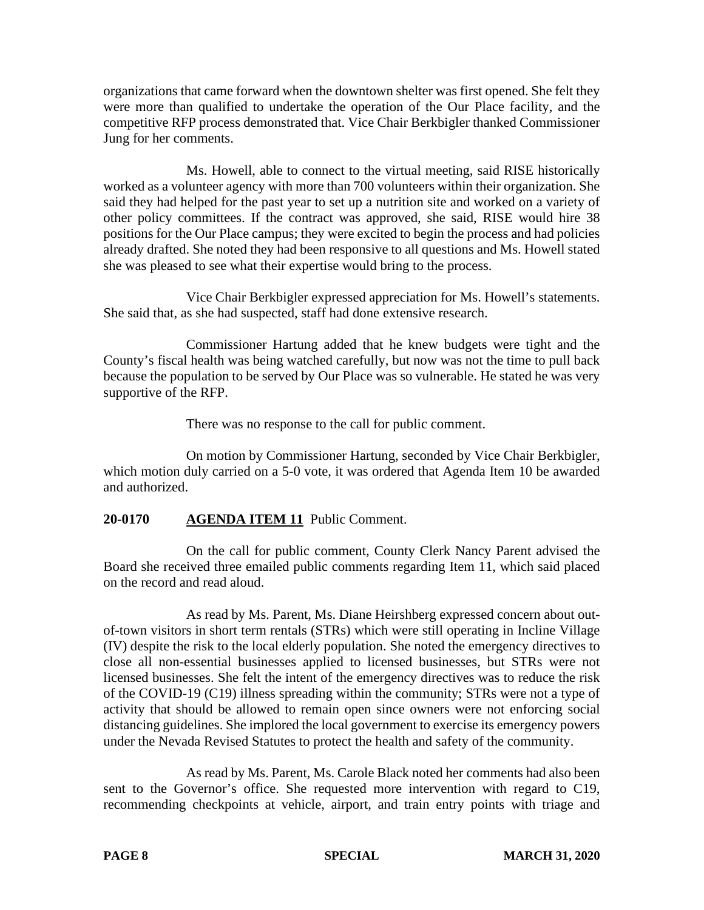organizations that came forward when the downtown shelter was first opened. She felt they were more than qualified to undertake the operation of the Our Place facility, and the competitive RFP process demonstrated that. Vice Chair Berkbigler thanked Commissioner Jung for her comments.

Ms. Howell, able to connect to the virtual meeting, said RISE historically worked as a volunteer agency with more than 700 volunteers within their organization. She said they had helped for the past year to set up a nutrition site and worked on a variety of other policy committees. If the contract was approved, she said, RISE would hire 38 positions for the Our Place campus; they were excited to begin the process and had policies already drafted. She noted they had been responsive to all questions and Ms. Howell stated she was pleased to see what their expertise would bring to the process.

Vice Chair Berkbigler expressed appreciation for Ms. Howell's statements. She said that, as she had suspected, staff had done extensive research.

Commissioner Hartung added that he knew budgets were tight and the County's fiscal health was being watched carefully, but now was not the time to pull back because the population to be served by Our Place was so vulnerable. He stated he was very supportive of the RFP.

There was no response to the call for public comment.

On motion by Commissioner Hartung, seconded by Vice Chair Berkbigler, which motion duly carried on a 5-0 vote, it was ordered that Agenda Item 10 be awarded and authorized.

# **20-0170 AGENDA ITEM 11** Public Comment.

On the call for public comment, County Clerk Nancy Parent advised the Board she received three emailed public comments regarding Item 11, which said placed on the record and read aloud.

As read by Ms. Parent, Ms. Diane Heirshberg expressed concern about outof-town visitors in short term rentals (STRs) which were still operating in Incline Village (IV) despite the risk to the local elderly population. She noted the emergency directives to close all non-essential businesses applied to licensed businesses, but STRs were not licensed businesses. She felt the intent of the emergency directives was to reduce the risk of the COVID-19 (C19) illness spreading within the community; STRs were not a type of activity that should be allowed to remain open since owners were not enforcing social distancing guidelines. She implored the local government to exercise its emergency powers under the Nevada Revised Statutes to protect the health and safety of the community.

As read by Ms. Parent, Ms. Carole Black noted her comments had also been sent to the Governor's office. She requested more intervention with regard to C19, recommending checkpoints at vehicle, airport, and train entry points with triage and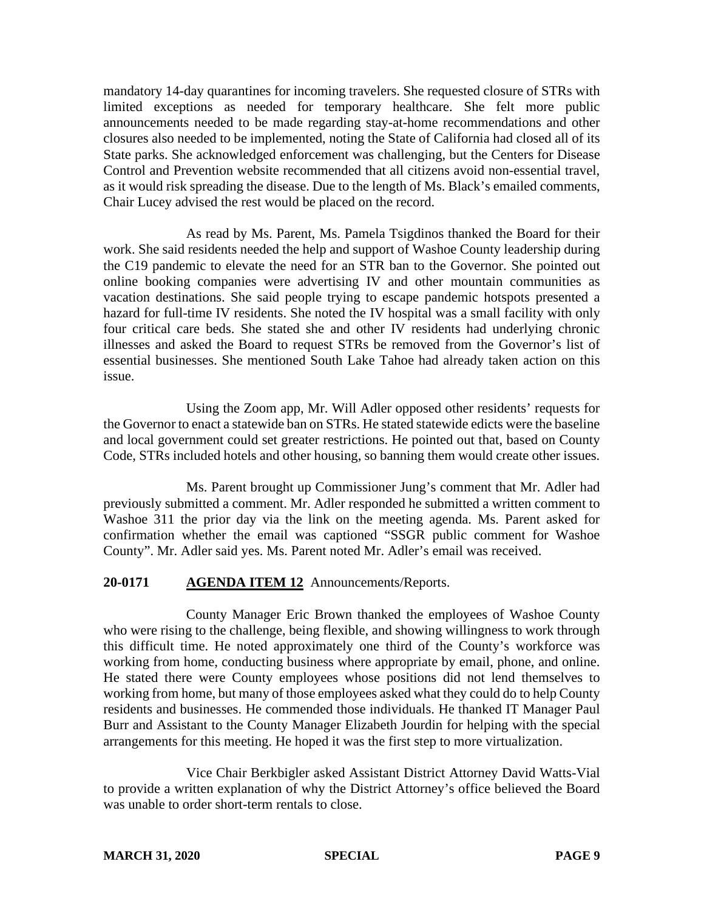mandatory 14-day quarantines for incoming travelers. She requested closure of STRs with limited exceptions as needed for temporary healthcare. She felt more public announcements needed to be made regarding stay-at-home recommendations and other closures also needed to be implemented, noting the State of California had closed all of its State parks. She acknowledged enforcement was challenging, but the Centers for Disease Control and Prevention website recommended that all citizens avoid non-essential travel, as it would risk spreading the disease. Due to the length of Ms. Black's emailed comments, Chair Lucey advised the rest would be placed on the record.

As read by Ms. Parent, Ms. Pamela Tsigdinos thanked the Board for their work. She said residents needed the help and support of Washoe County leadership during the C19 pandemic to elevate the need for an STR ban to the Governor. She pointed out online booking companies were advertising IV and other mountain communities as vacation destinations. She said people trying to escape pandemic hotspots presented a hazard for full-time IV residents. She noted the IV hospital was a small facility with only four critical care beds. She stated she and other IV residents had underlying chronic illnesses and asked the Board to request STRs be removed from the Governor's list of essential businesses. She mentioned South Lake Tahoe had already taken action on this issue.

Using the Zoom app, Mr. Will Adler opposed other residents' requests for the Governor to enact a statewide ban on STRs. He stated statewide edicts were the baseline and local government could set greater restrictions. He pointed out that, based on County Code, STRs included hotels and other housing, so banning them would create other issues.

Ms. Parent brought up Commissioner Jung's comment that Mr. Adler had previously submitted a comment. Mr. Adler responded he submitted a written comment to Washoe 311 the prior day via the link on the meeting agenda. Ms. Parent asked for confirmation whether the email was captioned "SSGR public comment for Washoe County". Mr. Adler said yes. Ms. Parent noted Mr. Adler's email was received.

# **20-0171 AGENDA ITEM 12** Announcements/Reports.

County Manager Eric Brown thanked the employees of Washoe County who were rising to the challenge, being flexible, and showing willingness to work through this difficult time. He noted approximately one third of the County's workforce was working from home, conducting business where appropriate by email, phone, and online. He stated there were County employees whose positions did not lend themselves to working from home, but many of those employees asked what they could do to help County residents and businesses. He commended those individuals. He thanked IT Manager Paul Burr and Assistant to the County Manager Elizabeth Jourdin for helping with the special arrangements for this meeting. He hoped it was the first step to more virtualization.

Vice Chair Berkbigler asked Assistant District Attorney David Watts-Vial to provide a written explanation of why the District Attorney's office believed the Board was unable to order short-term rentals to close.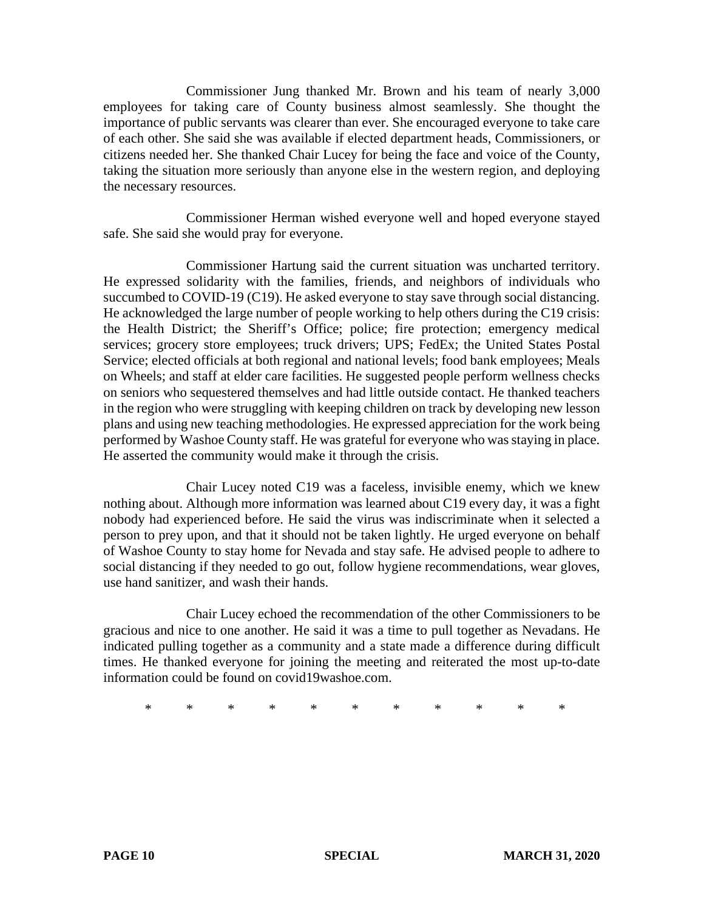Commissioner Jung thanked Mr. Brown and his team of nearly 3,000 employees for taking care of County business almost seamlessly. She thought the importance of public servants was clearer than ever. She encouraged everyone to take care of each other. She said she was available if elected department heads, Commissioners, or citizens needed her. She thanked Chair Lucey for being the face and voice of the County, taking the situation more seriously than anyone else in the western region, and deploying the necessary resources.

Commissioner Herman wished everyone well and hoped everyone stayed safe. She said she would pray for everyone.

Commissioner Hartung said the current situation was uncharted territory. He expressed solidarity with the families, friends, and neighbors of individuals who succumbed to COVID-19 (C19). He asked everyone to stay save through social distancing. He acknowledged the large number of people working to help others during the C19 crisis: the Health District; the Sheriff's Office; police; fire protection; emergency medical services; grocery store employees; truck drivers; UPS; FedEx; the United States Postal Service; elected officials at both regional and national levels; food bank employees; Meals on Wheels; and staff at elder care facilities. He suggested people perform wellness checks on seniors who sequestered themselves and had little outside contact. He thanked teachers in the region who were struggling with keeping children on track by developing new lesson plans and using new teaching methodologies. He expressed appreciation for the work being performed by Washoe County staff. He was grateful for everyone who was staying in place. He asserted the community would make it through the crisis.

Chair Lucey noted C19 was a faceless, invisible enemy, which we knew nothing about. Although more information was learned about C19 every day, it was a fight nobody had experienced before. He said the virus was indiscriminate when it selected a person to prey upon, and that it should not be taken lightly. He urged everyone on behalf of Washoe County to stay home for Nevada and stay safe. He advised people to adhere to social distancing if they needed to go out, follow hygiene recommendations, wear gloves, use hand sanitizer, and wash their hands.

Chair Lucey echoed the recommendation of the other Commissioners to be gracious and nice to one another. He said it was a time to pull together as Nevadans. He indicated pulling together as a community and a state made a difference during difficult times. He thanked everyone for joining the meeting and reiterated the most up-to-date information could be found on covid19washoe.com.

\* \* \* \* \* \* \* \* \* \* \*